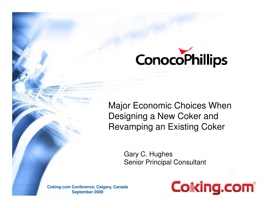

Major Economic Choices When Designing a New Coker and Revamping an Existing Coker

> Gary C. HughesSenior Principal Consultant

**Coking.com Conference, Calgary, CanadaSeptember 2009**

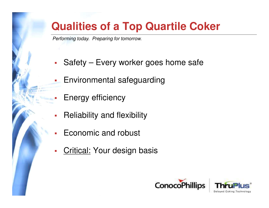### **Qualities of a Top Quartile Coker**

Performing today. Preparing for tomorrow.

- $\mathbb{R}^n$ Safety – Every worker goes home safe
- a. Environmental safeguarding
	- Energy efficiency

П

- $\overline{\phantom{a}}$ Reliability and flexibility
- П Economic and robust
- $\blacksquare$ Critical: Your design basis

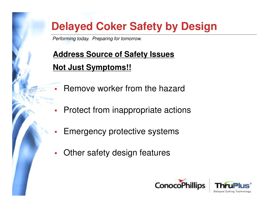Performing today. Preparing for tomorrow.

### **Address Source of Safety Issues Not Just Symptoms!!**

- ä. Remove worker from the hazard
- $\mathcal{L}_{\mathcal{A}}$ Protect from inappropriate actions
- П Emergency protective systems
- $\mathcal{L}_{\mathcal{A}}$ Other safety design features



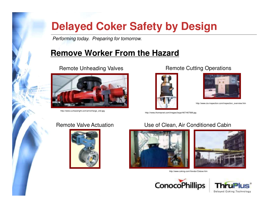Performing today. Preparing for tomorrow.

#### **Remove Worker From the Hazard**

#### Remote Unheading Valves



http://www.curtisswright.com/art/oil/large\_oil2.jpg

#### Remote Cutting Operations





http://www.cia-inspection.com/inspection\_overview.htm

http://news.thomasnet.com/images/large/467/467569.jpg

#### Remote Valve Actuation



#### Use of Clean, Air Conditioned Cabin





http://www.coking.com/Vendor/Oxbow.htm



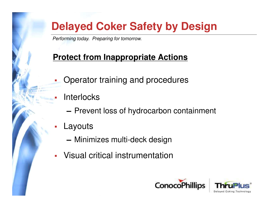Performing today. Preparing for tomorrow.

#### **Protect from Inappropriate Actions**

- $\mathcal{L}_{\mathcal{A}}$ Operator training and procedures
- П **Interlocks** 
	- ▬ $-$  Prevent loss of hydrocarbon containment
- $\mathcal{L}_{\mathcal{A}}$  Layouts
	- ▬Minimizes multi-deck design
- $\mathbb{R}^n$ Visual critical instrumentation



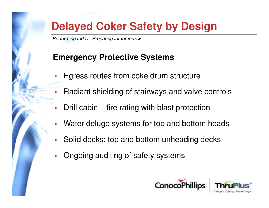Performing today. Preparing for tomorrow.

Ш

#### **Emergency Protective Systems**

- Ш Egress routes from coke drum structure
	- Radiant shielding of stairways and valve controls
- П Drill cabin – fire rating with blast protection
- $\overline{\phantom{a}}$ Water deluge systems for top and bottom heads
- П Solid decks: top and bottom unheading decks
- П Ongoing auditing of safety systems

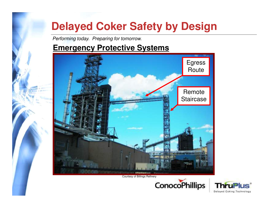Performing today. Preparing for tomorrow.

#### **Emergency Protective Systems**



Courtesy of Billings Refinery



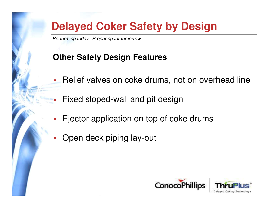Performing today. Preparing for tomorrow.

### **Other Safety Design Features**

- Relief valves on coke drums, not on overhead line
	- Fixed sloped-wall and pit design
- Ejector application on top of coke drums
- Open deck piping lay-out

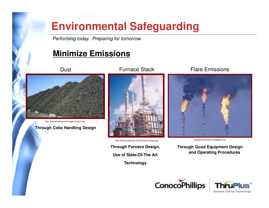### **Environmental Safeguarding**

Performing today. Preparing for tomorrow.

#### **Minimize Emissions**

**Dust** 



http://anchertrading.com/imagens/img13.jpg

**Through Coke Handling Design**

Furnace Stack



energizenowinitiative.blogspot.com http://www.questtrutec.com/Portals/0/heater.jpg

**Through Furnace Design,Use of State-Of-The ArtTechnology**

Flare Emissions



**Through Good Equipment Design and Operating Procedures**



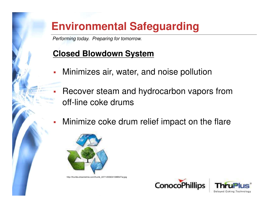### **Environmental Safeguarding**

Performing today. Preparing for tomorrow.

### **Closed Blowdown System**

- П Minimizes air, water, and noise pollution
- П Recover steam and hydrocarbon vapors fromoff-line coke drums
- П Minimize coke drum relief impact on the flare



http://thumbs.dreamstime.com/thumb\_227/1200604108B54Twj.jpg



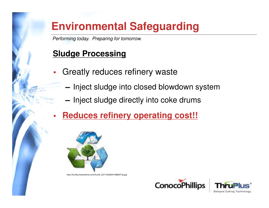### **Environmental Safeguarding**

Performing today. Preparing for tomorrow.

### **Sludge Processing**

- П Greatly reduces refinery waste
	- ▬ $-$  Inject sludge into closed blowdown system
	- $-$  Inject sludge directly into coke drums
- П **Reduces refinery operating cost!!**



http://thumbs.dreamstime.com/thumb\_227/1200604108B54Twj.jpg



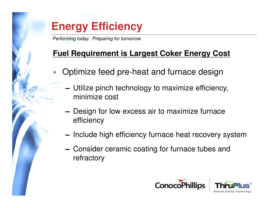## **Energy Efficiency**

Performing today. Preparing for tomorrow.

### **Fuel Requirement is Largest Coker Energy Cost**

- П Optimize feed pre-heat and furnace design
	- ▬ Utilize pinch technology to maximize efficiency, minimize cost
	- ▬- Design for low excess air to maximize furnace efficiency
	- ▬— Include high efficiency furnace heat recovery system
	- ▬- Consider ceramic coating for furnace tubes and refractory

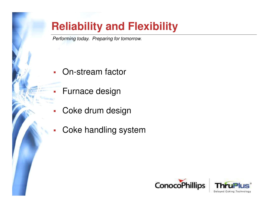Performing today. Preparing for tomorrow.

- П On-stream factor
- П Furnace design
- П Coke drum design
- П Coke handling system



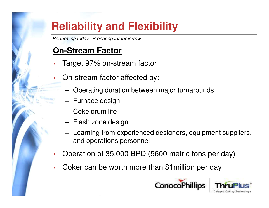Performing today. Preparing for tomorrow.

### **On-Stream Factor**

- Target 97% on-stream factor
- On-stream factor affected by:
	- ▬Operating duration between major turnarounds
	- ▬ $-$  Furnace design
	- ▬Coke drum life
	- ▬— Flash zone design
	- ▬- Learning from experienced designers, equipment suppliers, and operations personnel
- П Operation of 35,000 BPD (5600 metric tons per day)
- П Coker can be worth more than \$1million per day

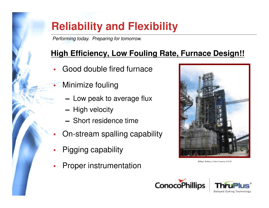Performing today. Preparing for tomorrow.

### **High Efficiency, Low Fouling Rate, Furnace Design!!**

- ▉ Good double fired furnace
	- Minimize fouling

Ш

- ▬ $-$  Low peak to average flux
- ▬ $-$  High velocity
- ▬ $-$  Short residence time
- П On-stream spalling capability
- П Pigging capability
- П Proper instrumentation



Billings Refinery Coker Courtesy of CoP



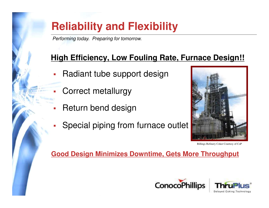Performing today. Preparing for tomorrow.

### **High Efficiency, Low Fouling Rate, Furnace Design!!**

- Radiant tube support design
- Correct metallurgy
- Return bend design
- Special piping from furnace outlet



Billings Refinery Coker Courtesy of CoP

#### **Good Design Minimizes Downtime, Gets More Throughput**



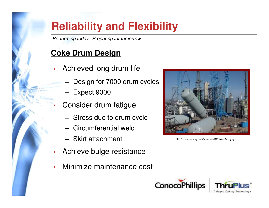Performing today. Preparing for tomorrow.

### **Coke Drum Design**

- Achieved long drum life
	- ▬Design for 7000 drum cycles
	- ▬Expect 9000+
- Consider drum fatigue
	- ▬ $-$  Stress due to drum cycle
	- ▬Circumferential weld
	- ▬ $-$  Skirt attachment
- П Achieve bulge resistance
- П Minimize maintenance cost



http://www.coking.com/Vendor/AS/mvc-256s.jpg



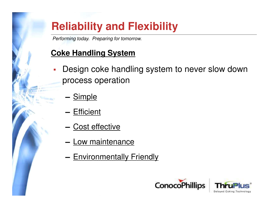Performing today. Preparing for tomorrow.

#### **Coke Handling System**

- Design coke handling system to never slow down process operation
	- <mark>— <u>Simple</u></mark>
	- <mark>— <u>Efficient</u></mark>
	- <mark>— <u>Cost effective</u></mark>
	- <mark>— <u>Low maintenance</u></mark>
	- <mark>— <u>Environmentally Friendly</u></mark>



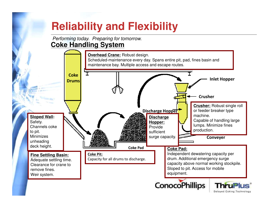Performing today. Preparing for tomorrow.**Coke Handling System**



Delayed Coking Technology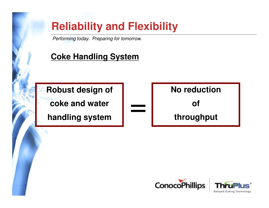Performing today. Preparing for tomorrow.

### **Coke Handling System**

**Robust design ofcoke and water**

**handling system**





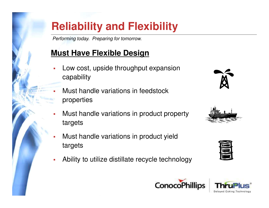Performing today. Preparing for tomorrow.

#### **Must Have Flexible Design**

- Low cost, upside throughput expansioncapability
- Г Must handle variations in feedstockproperties
- Must handle variations in product property targets
- Must handle variations in product yieldtargets
- Ability to utilize distillate recycle technology









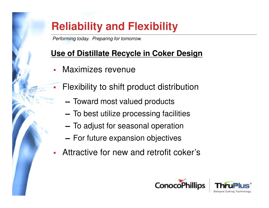Performing today. Preparing for tomorrow.

### **Use of Distillate Recycle in Coker Design**

П Maximizes revenue

П

- Flexibility to shift product distribution
	- ▬ $-$  Toward most valued products
	- $-$  To best utilize processing facilities
	- $-$  To adjust for seasonal operation
	- $-$  For future expansion objectives
- Attractive for new and retrofit coker's



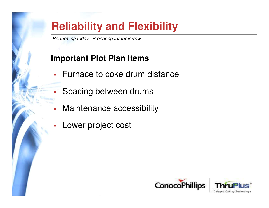Performing today. Preparing for tomorrow.

### **Important Plot Plan Items**

- П Furnace to coke drum distance
	- Spacing between drums
- П Maintenance accessibility
- П Lower project cost

П



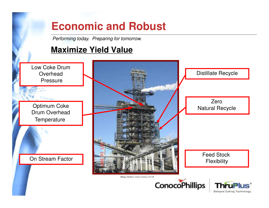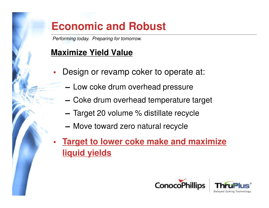Performing today. Preparing for tomorrow.

### **Maximize Yield Value**

- П Design or revamp coker to operate at:
	- ▬ $-$  Low coke drum overhead pressure
	- $-$  Coke drum overhead temperature target
	- ▬ $-$  Target 20 volume % distillate recycle
	- Move toward zero natural recycle
- П **Target to lower coke make and maximizeliquid yields**

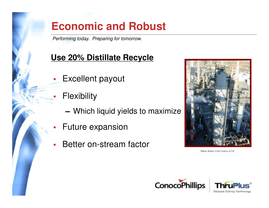Performing today. Preparing for tomorrow.

### **Use 20% Distillate Recycle**

- П Excellent payout
- **Flexibility**

П

- ▬Which liquid yields to maximize
- Future expansion
- Better on-stream factor



Billings Refinery Coker Courtesy of CoP



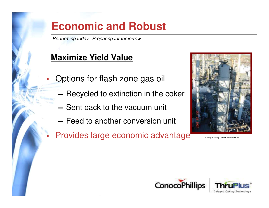Performing today. Preparing for tomorrow.

### **Maximize Yield Value**

П

- Options for flash zone gas oil
	- ▬ $-$  Recycled to extinction in the coker
	- ▬ $-$  Sent back to the vacuum unit
	- ▬ $-$  Feed to another conversion unit
- П Provides large economic advantage



Billings Refinery Coker Courtesy of CoP



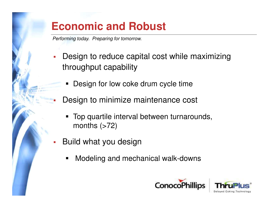Performing today. Preparing for tomorrow.

- П Design to reduce capital cost while maximizing throughput capability
	- н Design for low coke drum cycle time
	- Design to minimize maintenance cost
		- $\blacksquare$  Top quartile interval between turnarounds, months  $($ >72)
- L. Build what you design

П

 $\blacksquare$ Modeling and mechanical walk-downs



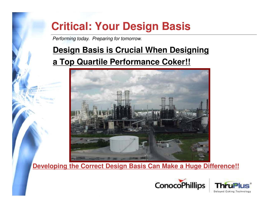Performing today. Preparing for tomorrow.

### **Design Basis is Crucial When Designing**

#### **a Top Quartile Performance Coker!!**



**Developing the Correct Design Basis Can Make a Huge Difference!!**

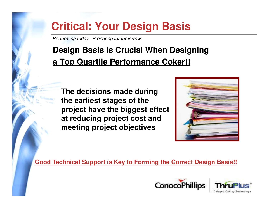Performing today. Preparing for tomorrow.

### **Design Basis is Crucial When Designing a Top Quartile Performance Coker!!**

**The decisions made duringthe earliest stages of the project have the biggest effectat reducing project cost andmeeting project objectives**



**Good Technical Support is Key to Forming the Correct Design Basis!!**

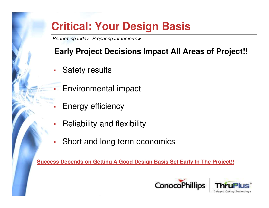Performing today. Preparing for tomorrow.

#### **Early Project Decisions Impact All Areas of Project!!**

- П Safety results
- L Environmental impact
- П Energy efficiency
- П Reliability and flexibility
- П Short and long term economics

**Success Depends on Getting A Good Design Basis Set Early In The Project!!**

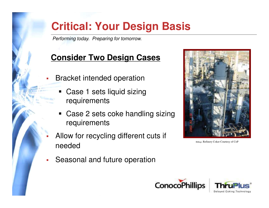Performing today. Preparing for tomorrow.

### **Consider Two Design Cases**

- П Bracket intended operation
	- П Case 1 sets liquid sizing requirements
	- н Case 2 sets coke handling sizing requirements
- П Allow for recycling different cuts if needed
- П Seasonal and future operation



Billings Refinery Coker Courtesy of CoP



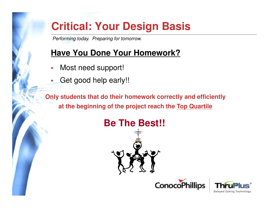Performing today. Preparing for tomorrow.

### **Have You Done Your Homework?**

- $\overline{\phantom{a}}$ Most need support!
- $\mathcal{L}_{\mathcal{A}}$ Get good help early!!

**Only students that do their homework correctly and efficiently at the beginning of the project reach the Top Quartile**